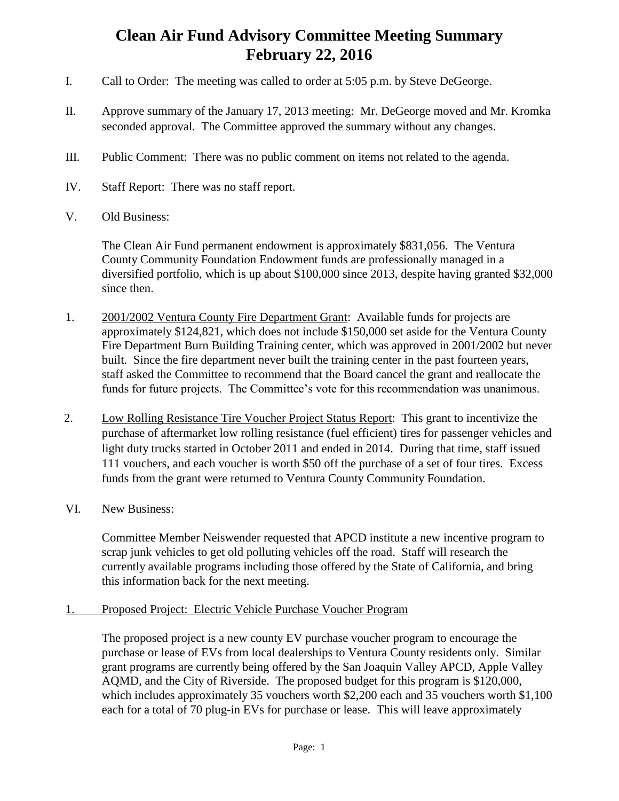## **Clean Air Fund Advisory Committee Meeting Summary February 22, 2016**

- I. Call to Order: The meeting was called to order at 5:05 p.m. by Steve DeGeorge.
- II. Approve summary of the January 17, 2013 meeting: Mr. DeGeorge moved and Mr. Kromka seconded approval. The Committee approved the summary without any changes.
- III. Public Comment: There was no public comment on items not related to the agenda.
- IV. Staff Report: There was no staff report.
- V. Old Business:

The Clean Air Fund permanent endowment is approximately \$831,056. The Ventura County Community Foundation Endowment funds are professionally managed in a diversified portfolio, which is up about \$100,000 since 2013, despite having granted \$32,000 since then.

- 1. 2001/2002 Ventura County Fire Department Grant: Available funds for projects are approximately \$124,821, which does not include \$150,000 set aside for the Ventura County Fire Department Burn Building Training center, which was approved in 2001/2002 but never built. Since the fire department never built the training center in the past fourteen years, staff asked the Committee to recommend that the Board cancel the grant and reallocate the funds for future projects. The Committee's vote for this recommendation was unanimous.
- 2. Low Rolling Resistance Tire Voucher Project Status Report: This grant to incentivize the purchase of aftermarket low rolling resistance (fuel efficient) tires for passenger vehicles and light duty trucks started in October 2011 and ended in 2014. During that time, staff issued 111 vouchers, and each voucher is worth \$50 off the purchase of a set of four tires. Excess funds from the grant were returned to Ventura County Community Foundation.
- VI. New Business:

Committee Member Neiswender requested that APCD institute a new incentive program to scrap junk vehicles to get old polluting vehicles off the road. Staff will research the currently available programs including those offered by the State of California, and bring this information back for the next meeting.

## 1. Proposed Project: Electric Vehicle Purchase Voucher Program

The proposed project is a new county EV purchase voucher program to encourage the purchase or lease of EVs from local dealerships to Ventura County residents only. Similar grant programs are currently being offered by the San Joaquin Valley APCD, Apple Valley AQMD, and the City of Riverside. The proposed budget for this program is \$120,000, which includes approximately 35 vouchers worth \$2,200 each and 35 vouchers worth \$1,100 each for a total of 70 plug-in EVs for purchase or lease. This will leave approximately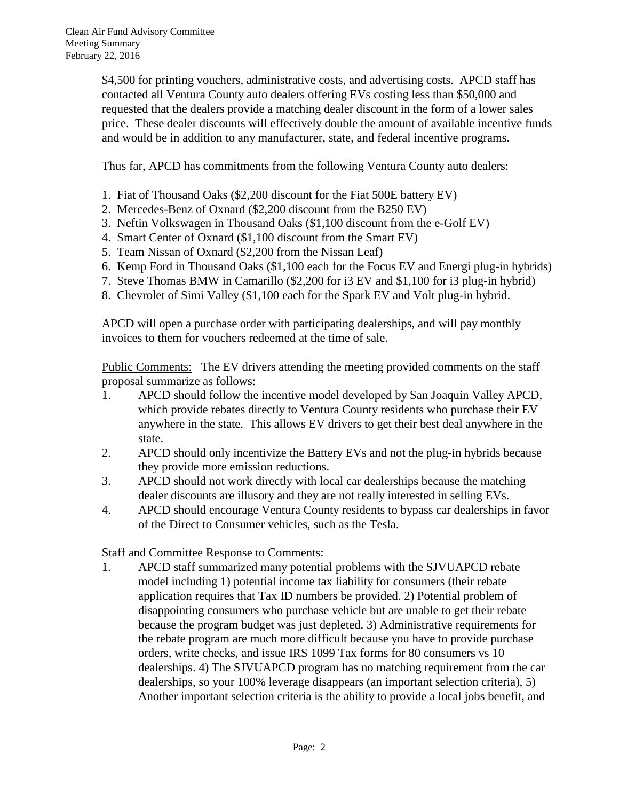\$4,500 for printing vouchers, administrative costs, and advertising costs. APCD staff has contacted all Ventura County auto dealers offering EVs costing less than \$50,000 and requested that the dealers provide a matching dealer discount in the form of a lower sales price. These dealer discounts will effectively double the amount of available incentive funds and would be in addition to any manufacturer, state, and federal incentive programs.

Thus far, APCD has commitments from the following Ventura County auto dealers:

- 1. Fiat of Thousand Oaks (\$2,200 discount for the Fiat 500E battery EV)
- 2. Mercedes-Benz of Oxnard (\$2,200 discount from the B250 EV)
- 3. Neftin Volkswagen in Thousand Oaks (\$1,100 discount from the e-Golf EV)
- 4. Smart Center of Oxnard (\$1,100 discount from the Smart EV)
- 5. Team Nissan of Oxnard (\$2,200 from the Nissan Leaf)
- 6. Kemp Ford in Thousand Oaks (\$1,100 each for the Focus EV and Energi plug-in hybrids)
- 7. Steve Thomas BMW in Camarillo (\$2,200 for i3 EV and \$1,100 for i3 plug-in hybrid)
- 8. Chevrolet of Simi Valley (\$1,100 each for the Spark EV and Volt plug-in hybrid.

APCD will open a purchase order with participating dealerships, and will pay monthly invoices to them for vouchers redeemed at the time of sale.

Public Comments: The EV drivers attending the meeting provided comments on the staff proposal summarize as follows:

- 1. APCD should follow the incentive model developed by San Joaquin Valley APCD, which provide rebates directly to Ventura County residents who purchase their EV anywhere in the state. This allows EV drivers to get their best deal anywhere in the state.
- 2. APCD should only incentivize the Battery EVs and not the plug-in hybrids because they provide more emission reductions.
- 3. APCD should not work directly with local car dealerships because the matching dealer discounts are illusory and they are not really interested in selling EVs.
- 4. APCD should encourage Ventura County residents to bypass car dealerships in favor of the Direct to Consumer vehicles, such as the Tesla.

Staff and Committee Response to Comments:

1. APCD staff summarized many potential problems with the SJVUAPCD rebate model including 1) potential income tax liability for consumers (their rebate application requires that Tax ID numbers be provided. 2) Potential problem of disappointing consumers who purchase vehicle but are unable to get their rebate because the program budget was just depleted. 3) Administrative requirements for the rebate program are much more difficult because you have to provide purchase orders, write checks, and issue IRS 1099 Tax forms for 80 consumers vs 10 dealerships. 4) The SJVUAPCD program has no matching requirement from the car dealerships, so your 100% leverage disappears (an important selection criteria), 5) Another important selection criteria is the ability to provide a local jobs benefit, and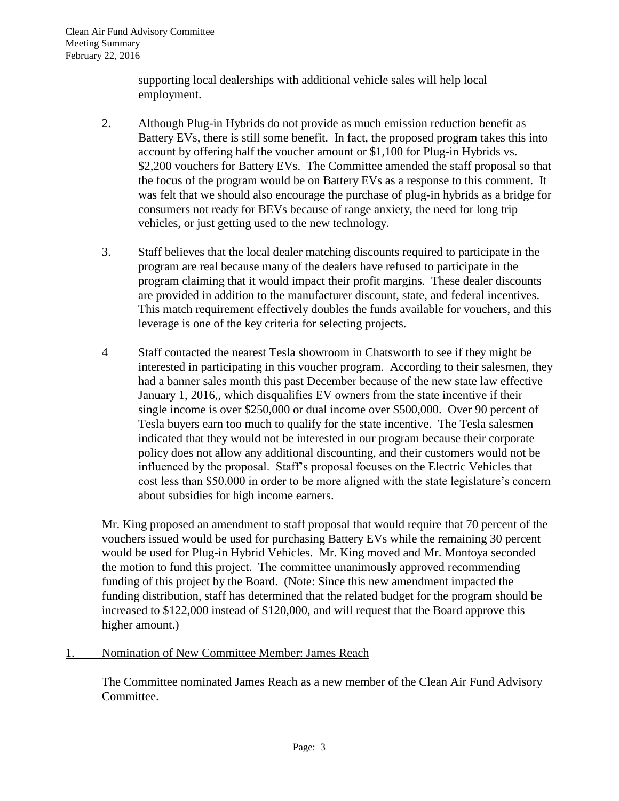supporting local dealerships with additional vehicle sales will help local employment.

- 2. Although Plug-in Hybrids do not provide as much emission reduction benefit as Battery EVs, there is still some benefit. In fact, the proposed program takes this into account by offering half the voucher amount or \$1,100 for Plug-in Hybrids vs. \$2,200 vouchers for Battery EVs. The Committee amended the staff proposal so that the focus of the program would be on Battery EVs as a response to this comment. It was felt that we should also encourage the purchase of plug-in hybrids as a bridge for consumers not ready for BEVs because of range anxiety, the need for long trip vehicles, or just getting used to the new technology.
- 3. Staff believes that the local dealer matching discounts required to participate in the program are real because many of the dealers have refused to participate in the program claiming that it would impact their profit margins. These dealer discounts are provided in addition to the manufacturer discount, state, and federal incentives. This match requirement effectively doubles the funds available for vouchers, and this leverage is one of the key criteria for selecting projects.
- 4 Staff contacted the nearest Tesla showroom in Chatsworth to see if they might be interested in participating in this voucher program. According to their salesmen, they had a banner sales month this past December because of the new state law effective January 1, 2016,, which disqualifies EV owners from the state incentive if their single income is over \$250,000 or dual income over \$500,000. Over 90 percent of Tesla buyers earn too much to qualify for the state incentive. The Tesla salesmen indicated that they would not be interested in our program because their corporate policy does not allow any additional discounting, and their customers would not be influenced by the proposal. Staff's proposal focuses on the Electric Vehicles that cost less than \$50,000 in order to be more aligned with the state legislature's concern about subsidies for high income earners.

Mr. King proposed an amendment to staff proposal that would require that 70 percent of the vouchers issued would be used for purchasing Battery EVs while the remaining 30 percent would be used for Plug-in Hybrid Vehicles. Mr. King moved and Mr. Montoya seconded the motion to fund this project. The committee unanimously approved recommending funding of this project by the Board. (Note: Since this new amendment impacted the funding distribution, staff has determined that the related budget for the program should be increased to \$122,000 instead of \$120,000, and will request that the Board approve this higher amount.)

1. Nomination of New Committee Member: James Reach

The Committee nominated James Reach as a new member of the Clean Air Fund Advisory Committee.